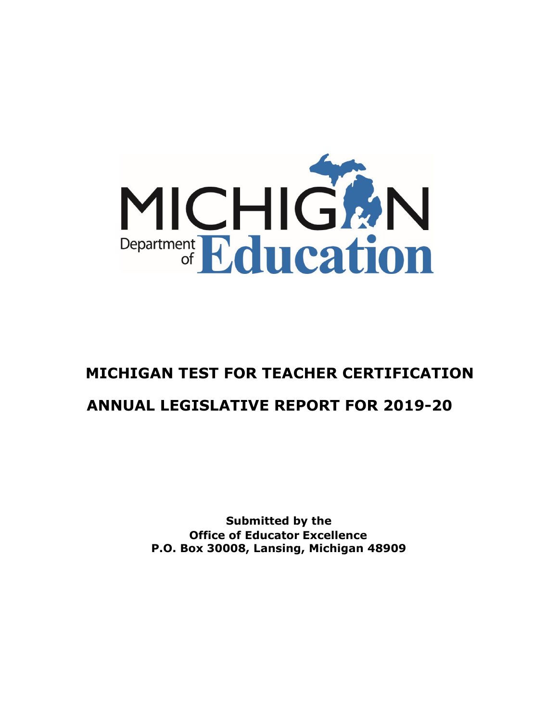

# **MICHIGAN TEST FOR TEACHER CERTIFICATION ANNUAL LEGISLATIVE REPORT FOR 2019-20**

**Submitted by the Office of Educator Excellence P.O. Box 30008, Lansing, Michigan 48909**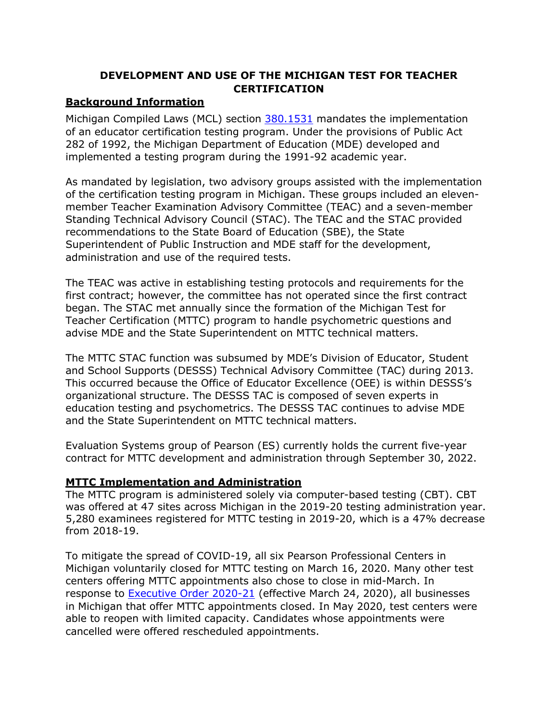# **DEVELOPMENT AND USE OF THE MICHIGAN TEST FOR TEACHER CERTIFICATION**

#### **Background Information**

Michigan Compiled Laws (MCL) section [380.1531](http://legislature.mi.gov/doc.aspx?mcl-380-1531) mandates the implementation of an educator certification testing program. Under the provisions of Public Act 282 of 1992, the Michigan Department of Education (MDE) developed and implemented a testing program during the 1991-92 academic year.

As mandated by legislation, two advisory groups assisted with the implementation of the certification testing program in Michigan. These groups included an elevenmember Teacher Examination Advisory Committee (TEAC) and a seven-member Standing Technical Advisory Council (STAC). The TEAC and the STAC provided recommendations to the State Board of Education (SBE), the State Superintendent of Public Instruction and MDE staff for the development, administration and use of the required tests.

The TEAC was active in establishing testing protocols and requirements for the first contract; however, the committee has not operated since the first contract began. The STAC met annually since the formation of the Michigan Test for Teacher Certification (MTTC) program to handle psychometric questions and advise MDE and the State Superintendent on MTTC technical matters.

 education testing and psychometrics. The DESSS TAC continues to advise MDE The MTTC STAC function was subsumed by MDE's Division of Educator, Student and School Supports (DESSS) Technical Advisory Committee (TAC) during 2013. This occurred because the Office of Educator Excellence (OEE) is within DESSS's organizational structure. The DESSS TAC is composed of seven experts in and the State Superintendent on MTTC technical matters.

 Evaluation Systems group of Pearson (ES) currently holds the current five-year contract for MTTC development and administration through September 30, 2022.

#### **MTTC Implementation and Administration**

The MTTC program is administered solely via computer-based testing (CBT). CBT was offered at 47 sites across Michigan in the 2019-20 testing administration year. 5,280 examinees registered for MTTC testing in 2019-20, which is a 47% decrease from 2018-19.

To mitigate the spread of COVID-19, all six Pearson Professional Centers in Michigan voluntarily closed for MTTC testing on March 16, 2020. Many other test centers offering MTTC appointments also chose to close in mid-March. In response to [Executive Order 2020-21](https://www.michigan.gov/whitmer/0,9309,7-387-90499_90705-522626--,00.html) (effective March 24, 2020), all businesses in Michigan that offer MTTC appointments closed. In May 2020, test centers were able to reopen with limited capacity. Candidates whose appointments were cancelled were offered rescheduled appointments.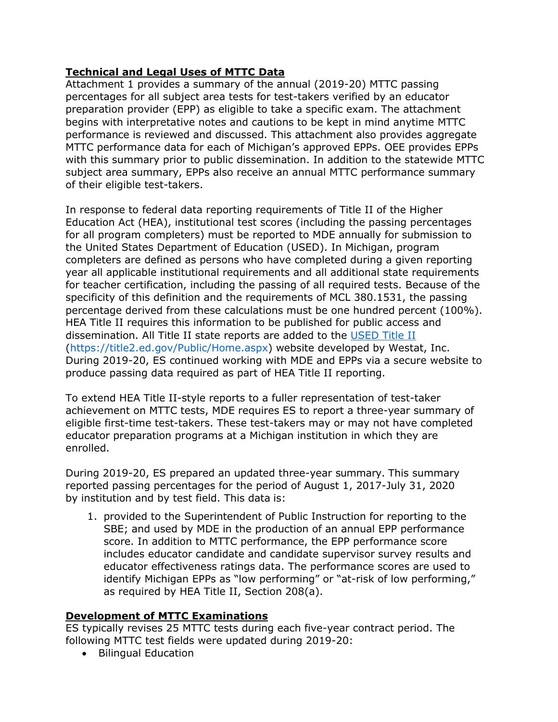# **Technical and Legal Uses of MTTC Data**

Attachment 1 provides a summary of the annual (2019-20) MTTC passing percentages for all subject area tests for test-takers verified by an educator preparation provider (EPP) as eligible to take a specific exam. The attachment begins with interpretative notes and cautions to be kept in mind anytime MTTC performance is reviewed and discussed. This attachment also provides aggregate MTTC performance data for each of Michigan's approved EPPs. OEE provides EPPs with this summary prior to public dissemination. In addition to the statewide MTTC subject area summary, EPPs also receive an annual MTTC performance summary of their eligible test-takers.

 the United States Department of Education (USED). In Michigan, program year all applicable institutional requirements and all additional state requirements [\(https://title2.ed.gov/Public/Home.aspx\) w](https://title2.ed.gov/Public/Home.aspx)ebsite developed by Westat, Inc. In response to federal data reporting requirements of Title II of the Higher Education Act (HEA), institutional test scores (including the passing percentages for all program completers) must be reported to MDE annually for submission to completers are defined as persons who have completed during a given reporting for teacher certification, including the passing of all required tests. Because of the specificity of this definition and the requirements of MCL 380.1531, the passing percentage derived from these calculations must be one hundred percent (100%). HEA Title II requires this information to be published for public access and dissemination. All Title II state reports are added to the [USED Title II](https://title2.ed.gov/Public/Home.aspx)  During 2019-20, ES continued working with MDE and EPPs via a secure website to produce passing data required as part of HEA Title II reporting.

To extend HEA Title II-style reports to a fuller representation of test-taker achievement on MTTC tests, MDE requires ES to report a three-year summary of eligible first-time test-takers. These test-takers may or may not have completed educator preparation programs at a Michigan institution in which they are enrolled.

 by institution and by test field. This data is: During 2019-20, ES prepared an updated three-year summary. This summary reported passing percentages for the period of August 1, 2017-July 31, 2020

 SBE; and used by MDE in the production of an annual EPP performance educator effectiveness ratings data. The performance scores are used to as required by HEA Title II, Section 208(a). 1. provided to the Superintendent of Public Instruction for reporting to the score. In addition to MTTC performance, the EPP performance score includes educator candidate and candidate supervisor survey results and identify Michigan EPPs as "low performing" or "at-risk of low performing,"

#### **Development of MTTC Examinations**

ES typically revises 25 MTTC tests during each five-year contract period. The following MTTC test fields were updated during 2019-20:

• Bilingual Education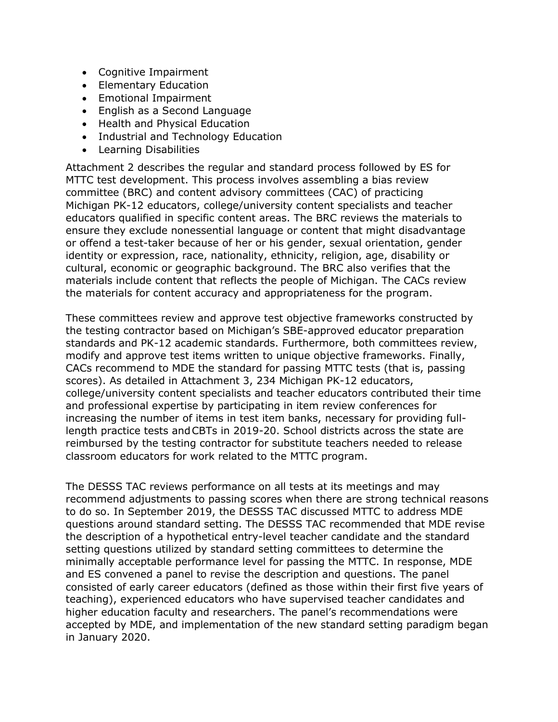- Cognitive Impairment
- Elementary Education
- Emotional Impairment
- English as a Second Language
- Health and Physical Education
- Industrial and Technology Education
- Learning Disabilities

 educators qualified in specific content areas. The BRC reviews the materials to Attachment 2 describes the regular and standard process followed by ES for MTTC test development. This process involves assembling a bias review committee (BRC) and content advisory committees (CAC) of practicing Michigan PK-12 educators, college/university content specialists and teacher ensure they exclude nonessential language or content that might disadvantage or offend a test-taker because of her or his gender, sexual orientation, gender identity or expression, race, nationality, ethnicity, religion, age, disability or cultural, economic or geographic background. The BRC also verifies that the materials include content that reflects the people of Michigan. The CACs review the materials for content accuracy and appropriateness for the program.

 classroom educators for work related to the MTTC program. These committees review and approve test objective frameworks constructed by the testing contractor based on Michigan's SBE-approved educator preparation standards and PK-12 academic standards. Furthermore, both committees review, modify and approve test items written to unique objective frameworks. Finally, CACs recommend to MDE the standard for passing MTTC tests (that is, passing scores). As detailed in Attachment 3, 234 Michigan PK-12 educators, college/university content specialists and teacher educators contributed their time and professional expertise by participating in item review conferences for increasing the number of items in test item banks, necessary for providing fulllength practice tests and CBTs in 2019-20. School districts across the state are reimbursed by the testing contractor for substitute teachers needed to release

 The DESSS TAC reviews performance on all tests at its meetings and may setting questions utilized by standard setting committees to determine the recommend adjustments to passing scores when there are strong technical reasons to do so. In September 2019, the DESSS TAC discussed MTTC to address MDE questions around standard setting. The DESSS TAC recommended that MDE revise the description of a hypothetical entry-level teacher candidate and the standard minimally acceptable performance level for passing the MTTC. In response, MDE and ES convened a panel to revise the description and questions. The panel consisted of early career educators (defined as those within their first five years of teaching), experienced educators who have supervised teacher candidates and higher education faculty and researchers. The panel's recommendations were accepted by MDE, and implementation of the new standard setting paradigm began in January 2020.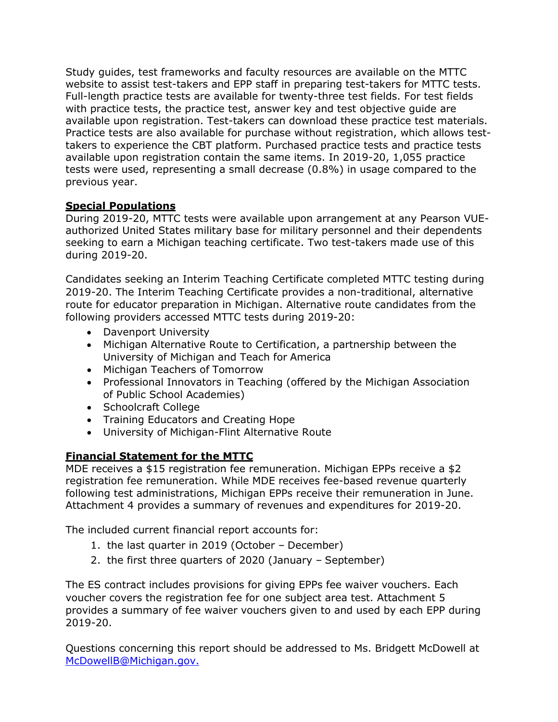Study guides, test frameworks and faculty resources are available on the MTTC website to assist test-takers and EPP staff in preparing test-takers for MTTC tests. Full-length practice tests are available for twenty-three test fields. For test fields with practice tests, the practice test, answer key and test objective guide are available upon registration. Test-takers can download these practice test materials. Practice tests are also available for purchase without registration, which allows testtakers to experience the CBT platform. Purchased practice tests and practice tests available upon registration contain the same items. In 2019-20, 1,055 practice tests were used, representing a small decrease (0.8%) in usage compared to the previous year.

# **Special Populations**

 seeking to earn a Michigan teaching certificate. Two test-takers made use of this During 2019-20, MTTC tests were available upon arrangement at any Pearson VUEauthorized United States military base for military personnel and their dependents during 2019-20.

Candidates seeking an Interim Teaching Certificate completed MTTC testing during 2019-20. The Interim Teaching Certificate provides a non-traditional, alternative route for educator preparation in Michigan. Alternative route candidates from the following providers accessed MTTC tests during 2019-20:

- Davenport University
- University of Michigan and Teach for America • Michigan Alternative Route to Certification, a partnership between the
- Michigan Teachers of Tomorrow
- Professional Innovators in Teaching (offered by the Michigan Association of Public School Academies)
- Schoolcraft College
- Training Educators and Creating Hope
- University of Michigan-Flint Alternative Route

# **Financial Statement for the MTTC**

MDE receives a \$15 registration fee remuneration. Michigan EPPs receive a \$2 registration fee remuneration. While MDE receives fee-based revenue quarterly following test administrations, Michigan EPPs receive their remuneration in June. Attachment 4 provides a summary of revenues and expenditures for 2019-20.

The included current financial report accounts for:

- 1. the last quarter in 2019 (October December)
- 2. the first three quarters of 2020 (January September)

The ES contract includes provisions for giving EPPs fee waiver vouchers. Each voucher covers the registration fee for one subject area test. Attachment 5 provides a summary of fee waiver vouchers given to and used by each EPP during 2019-20.

Questions concerning this report should be addressed to Ms. Bridgett McDowell at [McDowellB@Michigan.gov.](mailto:McDowellB@Michigan.gov.)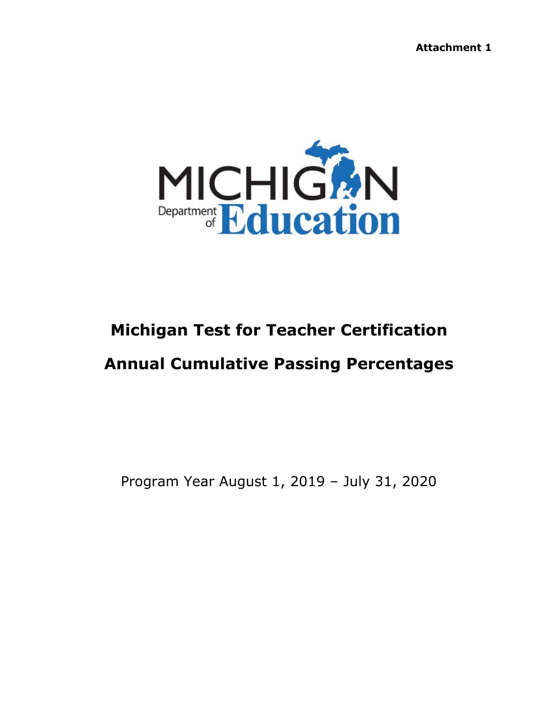**Attachment 1** 



# **Michigan Test for Teacher Certification Annual Cumulative Passing Percentages**

Program Year August 1, 2019 – July 31, 2020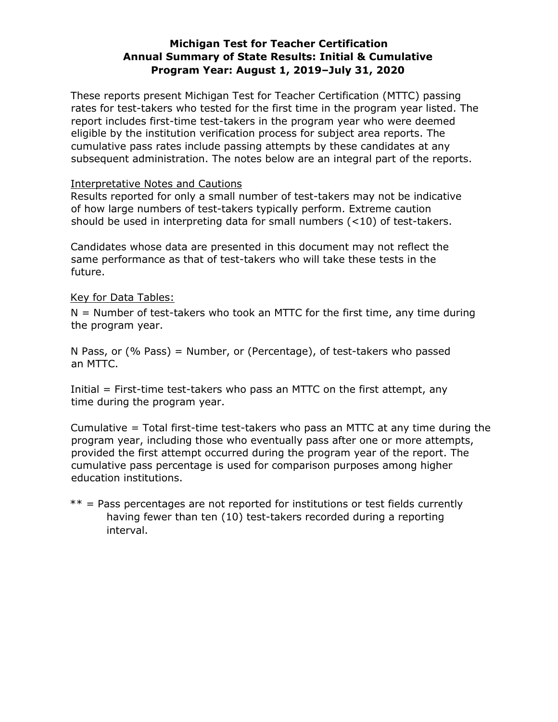# **Michigan Test for Teacher Certification Annual Summary of State Results: Initial & Cumulative Program Year: August 1, 2019–July 31, 2020**

These reports present Michigan Test for Teacher Certification (MTTC) passing rates for test-takers who tested for the first time in the program year listed. The report includes first-time test-takers in the program year who were deemed eligible by the institution verification process for subject area reports. The cumulative pass rates include passing attempts by these candidates at any subsequent administration. The notes below are an integral part of the reports.

#### Interpretative Notes and Cautions

Results reported for only a small number of test-takers may not be indicative of how large numbers of test-takers typically perform. Extreme caution should be used in interpreting data for small numbers (<10) of test-takers.

Candidates whose data are presented in this document may not reflect the same performance as that of test-takers who will take these tests in the future.

#### Key for Data Tables:

 $N =$  Number of test-takers who took an MTTC for the first time, any time during the program year.

N Pass, or (% Pass) = Number, or (Percentage), of test-takers who passed an MTTC.

Initial = First-time test-takers who pass an MTTC on the first attempt, any time during the program year.

Cumulative  $=$  Total first-time test-takers who pass an MTTC at any time during the program year, including those who eventually pass after one or more attempts, provided the first attempt occurred during the program year of the report. The cumulative pass percentage is used for comparison purposes among higher education institutions.

\*\* = Pass percentages are not reported for institutions or test fields currently having fewer than ten (10) test-takers recorded during a reporting interval.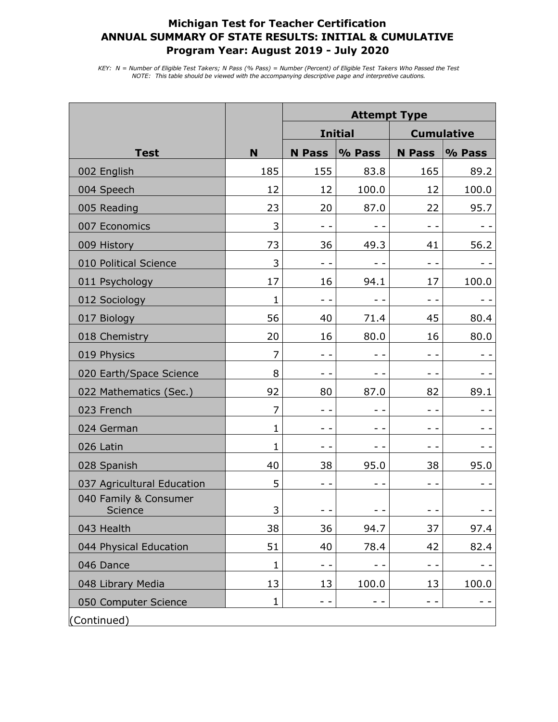|                                  |              | <b>Attempt Type</b> |                |               |                   |
|----------------------------------|--------------|---------------------|----------------|---------------|-------------------|
|                                  |              |                     | <b>Initial</b> |               | <b>Cumulative</b> |
| <b>Test</b>                      | N            | <b>N</b> Pass       | % Pass         | <b>N</b> Pass | % Pass            |
| 002 English                      | 185          | 155                 | 83.8           | 165           | 89.2              |
| 004 Speech                       | 12           | 12                  | 100.0          | 12            | 100.0             |
| 005 Reading                      | 23           | 20                  | 87.0           | 22            | 95.7              |
| 007 Economics                    | 3            | - -                 | - -            | $ -$          | - -               |
| 009 History                      | 73           | 36                  | 49.3           | 41            | 56.2              |
| 010 Political Science            | 3            | - -                 | $ -$           | $- -$         | $ -$              |
| 011 Psychology                   | 17           | 16                  | 94.1           | 17            | 100.0             |
| 012 Sociology                    | $\mathbf 1$  | $ -$                | $ -$           | $ -$          | $ -$              |
| 017 Biology                      | 56           | 40                  | 71.4           | 45            | 80.4              |
| 018 Chemistry                    | 20           | 16                  | 80.0           | 16            | 80.0              |
| 019 Physics                      | 7            | $ -$                | $ -$           | $ -$          | $ -$              |
| 020 Earth/Space Science          | 8            |                     |                | - -           |                   |
| 022 Mathematics (Sec.)           | 92           | 80                  | 87.0           | 82            | 89.1              |
| 023 French                       | 7            | - -                 | - -            | - -           |                   |
| 024 German                       | $\mathbf 1$  |                     |                | - -           |                   |
| 026 Latin                        | $\mathbf 1$  | $ -$                | $ -$           | $ -$          | - -               |
| 028 Spanish                      | 40           | 38                  | 95.0           | 38            | 95.0              |
| 037 Agricultural Education       | 5            | - -                 |                | - -           |                   |
| 040 Family & Consumer<br>Science | 3            |                     |                |               |                   |
| 043 Health                       | 38           | 36                  | 94.7           | 37            | 97.4              |
| 044 Physical Education           | 51           | 40                  | 78.4           | 42            | 82.4              |
| 046 Dance                        | $\mathbf{1}$ |                     | - -            | $ -$          | - -               |
| 048 Library Media                | 13           | 13                  | 100.0          | 13            | 100.0             |
| 050 Computer Science             | $\mathbf{1}$ | - -                 |                | - -           | - -               |
| (Continued)                      |              |                     |                |               |                   |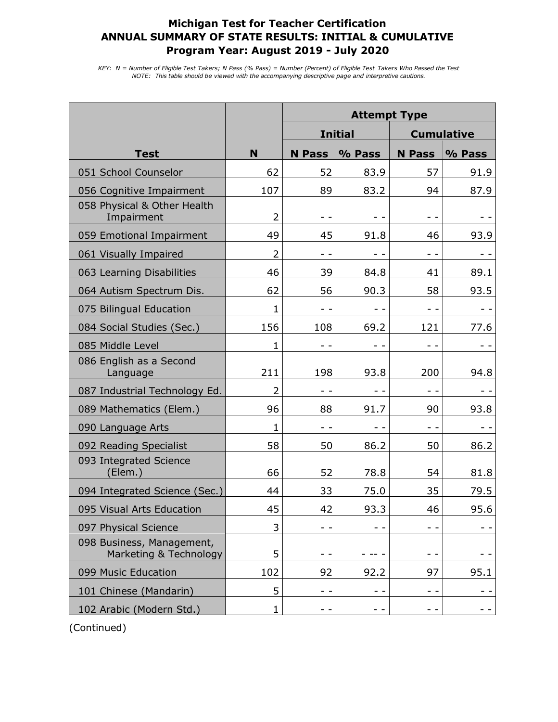*KEY: N = Number of Eligible Test Takers; N Pass (% Pass) = Number (Percent) of Eligible Test Takers Who Passed the Test NOTE: This table should be viewed with the accompanying descriptive page and interpretive cautions.* 

|                                                     |                | <b>Attempt Type</b> |        |               |                   |
|-----------------------------------------------------|----------------|---------------------|--------|---------------|-------------------|
|                                                     |                | <b>Initial</b>      |        |               | <b>Cumulative</b> |
| <b>Test</b>                                         | N              | <b>N</b> Pass       | % Pass | <b>N</b> Pass | % Pass            |
| 051 School Counselor                                | 62             | 52                  | 83.9   | 57            | 91.9              |
| 056 Cognitive Impairment                            | 107            | 89                  | 83.2   | 94            | 87.9              |
| 058 Physical & Other Health<br>Impairment           | $\overline{2}$ | $ -$                |        | $ -$          |                   |
| 059 Emotional Impairment                            | 49             | 45                  | 91.8   | 46            | 93.9              |
| 061 Visually Impaired                               | $\overline{2}$ | - -                 | - -    | $ -$          |                   |
| 063 Learning Disabilities                           | 46             | 39                  | 84.8   | 41            | 89.1              |
| 064 Autism Spectrum Dis.                            | 62             | 56                  | 90.3   | 58            | 93.5              |
| 075 Bilingual Education                             | 1              | - -                 |        | - -           | - -               |
| 084 Social Studies (Sec.)                           | 156            | 108                 | 69.2   | 121           | 77.6              |
| 085 Middle Level                                    | 1              |                     |        |               |                   |
| 086 English as a Second<br>Language                 | 211            | 198                 | 93.8   | 200           | 94.8              |
| 087 Industrial Technology Ed.                       | $\overline{2}$ | - -                 | - -    | $ -$          | - -               |
| 089 Mathematics (Elem.)                             | 96             | 88                  | 91.7   | 90            | 93.8              |
| 090 Language Arts                                   | $\mathbf{1}$   |                     |        | - -           |                   |
| 092 Reading Specialist                              | 58             | 50                  | 86.2   | 50            | 86.2              |
| 093 Integrated Science<br>(Elem.)                   | 66             | 52                  | 78.8   | 54            | 81.8              |
| 094 Integrated Science (Sec.)                       | 44             | 33                  | 75.0   | 35            | 79.5              |
| 095 Visual Arts Education                           | 45             | 42                  | 93.3   | 46            | 95.6              |
| 097 Physical Science                                | 3              | - -                 |        | - -           | $ -$              |
| 098 Business, Management,<br>Marketing & Technology | 5              | - -                 |        | - -           |                   |
| 099 Music Education                                 | 102            | 92                  | 92.2   | 97            | 95.1              |
| 101 Chinese (Mandarin)                              | 5              | н.                  |        | - -           | - -               |
| 102 Arabic (Modern Std.)                            | $\mathbf 1$    | - -                 | - -    | $ -$          |                   |

(Continued)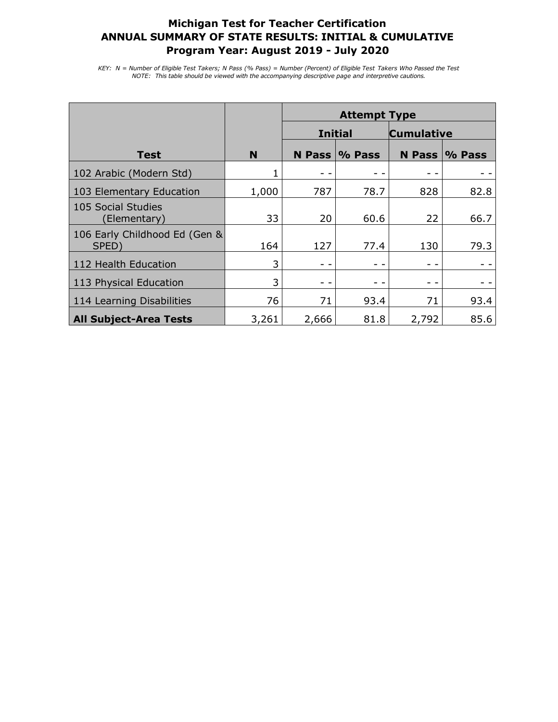|                                        |       | <b>Attempt Type</b> |                |                   |        |
|----------------------------------------|-------|---------------------|----------------|-------------------|--------|
|                                        |       |                     | <b>Initial</b> | <b>Cumulative</b> |        |
| <b>Test</b>                            | N     | <b>N</b> Pass       | % Pass         | N Pass I          | % Pass |
| 102 Arabic (Modern Std)                |       |                     |                |                   |        |
| 103 Elementary Education               | 1,000 | 787                 | 78.7           | 828               | 82.8   |
| 105 Social Studies<br>(Elementary)     | 33    | 20                  | 60.6           | 22                | 66.7   |
| 106 Early Childhood Ed (Gen &<br>SPED) | 164   | 127                 | 77.4           | 130               | 79.3   |
| 112 Health Education                   | 3     |                     |                |                   |        |
| 113 Physical Education                 | 3     |                     |                |                   |        |
| 114 Learning Disabilities              | 76    | 71                  | 93.4           | 71                | 93.4   |
| <b>All Subject-Area Tests</b>          | 3,261 | 2,666               | 81.8           | 2,792             | 85.6   |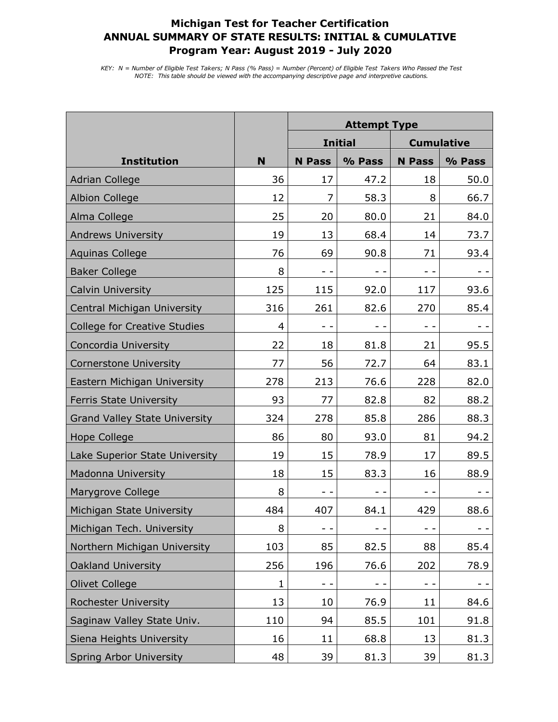|                                      |                | <b>Attempt Type</b> |        |               |                   |
|--------------------------------------|----------------|---------------------|--------|---------------|-------------------|
|                                      |                | <b>Initial</b>      |        |               | <b>Cumulative</b> |
| <b>Institution</b>                   | N              | <b>N</b> Pass       | % Pass | <b>N</b> Pass | % Pass            |
| <b>Adrian College</b>                | 36             | 17                  | 47.2   | 18            | 50.0              |
| <b>Albion College</b>                | 12             | 7                   | 58.3   | 8             | 66.7              |
| Alma College                         | 25             | 20                  | 80.0   | 21            | 84.0              |
| <b>Andrews University</b>            | 19             | 13                  | 68.4   | 14            | 73.7              |
| <b>Aquinas College</b>               | 76             | 69                  | 90.8   | 71            | 93.4              |
| <b>Baker College</b>                 | 8              | $ -$                | $ -$   | $ -$          | $\sim$ $\sim$     |
| Calvin University                    | 125            | 115                 | 92.0   | 117           | 93.6              |
| Central Michigan University          | 316            | 261                 | 82.6   | 270           | 85.4              |
| <b>College for Creative Studies</b>  | $\overline{4}$ | $ -$                | $ -$   | $ -$          | - -               |
| Concordia University                 | 22             | 18                  | 81.8   | 21            | 95.5              |
| <b>Cornerstone University</b>        | 77             | 56                  | 72.7   | 64            | 83.1              |
| Eastern Michigan University          | 278            | 213                 | 76.6   | 228           | 82.0              |
| <b>Ferris State University</b>       | 93             | 77                  | 82.8   | 82            | 88.2              |
| <b>Grand Valley State University</b> | 324            | 278                 | 85.8   | 286           | 88.3              |
| <b>Hope College</b>                  | 86             | 80                  | 93.0   | 81            | 94.2              |
| Lake Superior State University       | 19             | 15                  | 78.9   | 17            | 89.5              |
| Madonna University                   | 18             | 15                  | 83.3   | 16            | 88.9              |
| Marygrove College                    | 8              |                     |        | $ -$          |                   |
| Michigan State University            | 484            | 407                 | 84.1   | 429           | 88.6              |
| Michigan Tech. University            | 8              | $ -$                |        | $ -$          | - -               |
| Northern Michigan University         | 103            | 85                  | 82.5   | 88            | 85.4              |
| <b>Oakland University</b>            | 256            | 196                 | 76.6   | 202           | 78.9              |
| <b>Olivet College</b>                | $\mathbf{1}$   | $ -$                |        | $ -$          |                   |
| Rochester University                 | 13             | 10                  | 76.9   | 11            | 84.6              |
| Saginaw Valley State Univ.           | 110            | 94                  | 85.5   | 101           | 91.8              |
| Siena Heights University             | 16             | 11                  | 68.8   | 13            | 81.3              |
| <b>Spring Arbor University</b>       | 48             | 39                  | 81.3   | 39            | 81.3              |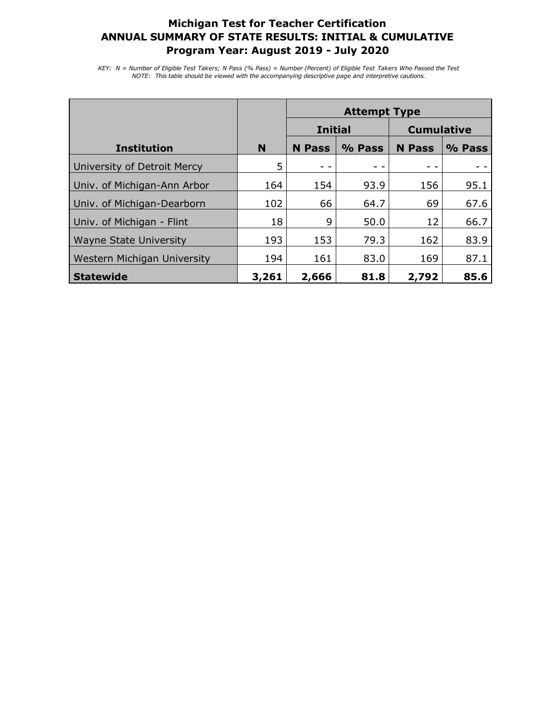|                               |       | <b>Attempt Type</b> |        |                   |        |
|-------------------------------|-------|---------------------|--------|-------------------|--------|
|                               |       | <b>Initial</b>      |        | <b>Cumulative</b> |        |
| <b>Institution</b>            | N     | <b>N</b> Pass       | % Pass | <b>N</b> Pass     | % Pass |
| University of Detroit Mercy   | 5     |                     |        |                   |        |
| Univ. of Michigan-Ann Arbor   | 164   | 154                 | 93.9   | 156               | 95.1   |
| Univ. of Michigan-Dearborn    | 102   | 66                  | 64.7   | 69                | 67.6   |
| Univ. of Michigan - Flint     | 18    | 9                   | 50.0   | 12                | 66.7   |
| <b>Wayne State University</b> | 193   | 153                 | 79.3   | 162               | 83.9   |
| Western Michigan University   | 194   | 161                 | 83.0   | 169               | 87.1   |
| <b>Statewide</b>              | 3,261 | 2,666               | 81.8   | 2,792             | 85.6   |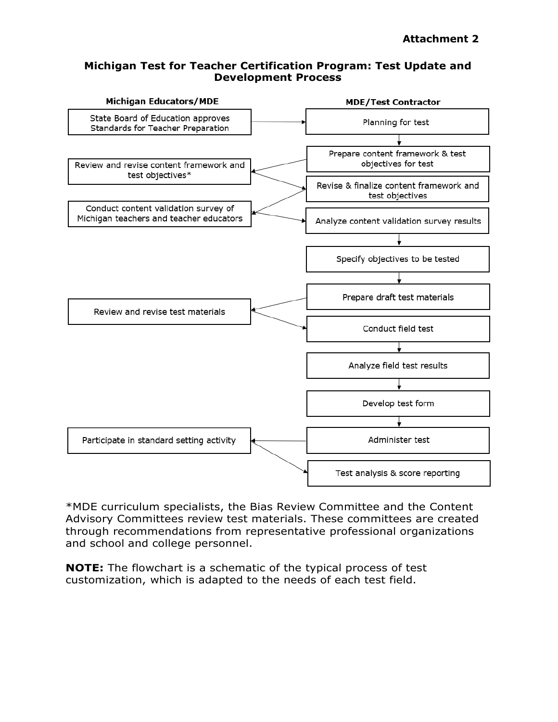### **Michigan Test for Teacher Certification Program: Test Update and Development Process**



\*MDE curriculum specialists, the Bias Review Committee and the Content Advisory Committees review test materials. These committees are created through recommendations from representative professional organizations and school and college personnel.

 customization, which is adapted to the needs of each test field. **NOTE:** The flowchart is a schematic of the typical process of test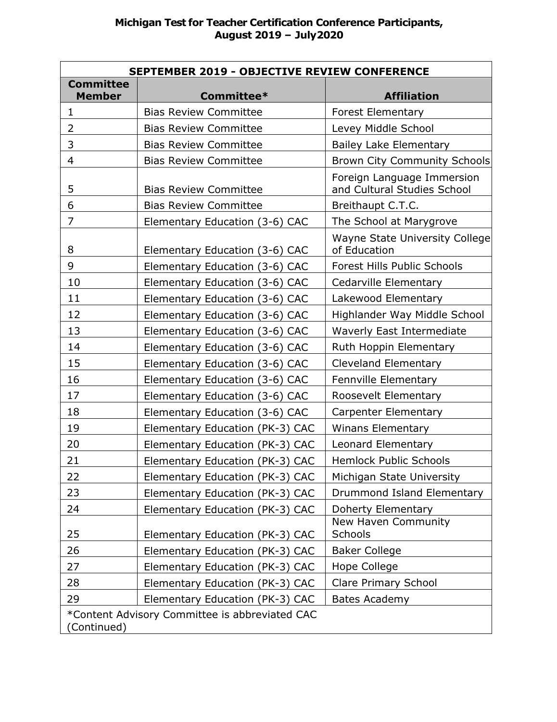#### **Michigan Test for Teacher Certification Conference Participants, August 2019 – July2020**

| <b>SEPTEMBER 2019 - OBJECTIVE REVIEW CONFERENCE</b> |                                                |                                                           |  |
|-----------------------------------------------------|------------------------------------------------|-----------------------------------------------------------|--|
| <b>Committee</b><br><b>Member</b>                   | Committee*                                     | <b>Affiliation</b>                                        |  |
| $\mathbf{1}$                                        | <b>Bias Review Committee</b>                   | <b>Forest Elementary</b>                                  |  |
| $\overline{2}$                                      | <b>Bias Review Committee</b>                   | Levey Middle School                                       |  |
| 3                                                   | <b>Bias Review Committee</b>                   | <b>Bailey Lake Elementary</b>                             |  |
| 4                                                   | <b>Bias Review Committee</b>                   | <b>Brown City Community Schools</b>                       |  |
| 5                                                   | <b>Bias Review Committee</b>                   | Foreign Language Immersion<br>and Cultural Studies School |  |
| 6                                                   | <b>Bias Review Committee</b>                   | Breithaupt C.T.C.                                         |  |
| $\overline{7}$                                      | Elementary Education (3-6) CAC                 | The School at Marygrove                                   |  |
| 8                                                   | Elementary Education (3-6) CAC                 | <b>Wayne State University College</b><br>of Education     |  |
| 9                                                   | Elementary Education (3-6) CAC                 | Forest Hills Public Schools                               |  |
| 10                                                  | Elementary Education (3-6) CAC                 | Cedarville Elementary                                     |  |
| 11                                                  | Elementary Education (3-6) CAC                 | Lakewood Elementary                                       |  |
| 12                                                  | Elementary Education (3-6) CAC                 | Highlander Way Middle School                              |  |
| 13                                                  | Elementary Education (3-6) CAC                 | Waverly East Intermediate                                 |  |
| 14                                                  | Elementary Education (3-6) CAC                 | Ruth Hoppin Elementary                                    |  |
| 15                                                  | Elementary Education (3-6) CAC                 | <b>Cleveland Elementary</b>                               |  |
| 16                                                  | Elementary Education (3-6) CAC                 | Fennville Elementary                                      |  |
| 17                                                  | Elementary Education (3-6) CAC                 | Roosevelt Elementary                                      |  |
| 18                                                  | Elementary Education (3-6) CAC                 | <b>Carpenter Elementary</b>                               |  |
| 19                                                  | Elementary Education (PK-3) CAC                | <b>Winans Elementary</b>                                  |  |
| 20                                                  | Elementary Education (PK-3) CAC                | <b>Leonard Elementary</b>                                 |  |
| 21                                                  | Elementary Education (PK-3) CAC                | <b>Hemlock Public Schools</b>                             |  |
| 22                                                  | Elementary Education (PK-3) CAC                | Michigan State University                                 |  |
| 23                                                  | Elementary Education (PK-3) CAC                | Drummond Island Elementary                                |  |
| 24                                                  | Elementary Education (PK-3) CAC                | Doherty Elementary                                        |  |
| 25                                                  | Elementary Education (PK-3) CAC                | New Haven Community<br>Schools                            |  |
| 26                                                  | Elementary Education (PK-3) CAC                | <b>Baker College</b>                                      |  |
| 27                                                  | Elementary Education (PK-3) CAC                | Hope College                                              |  |
| 28                                                  | Elementary Education (PK-3) CAC                | Clare Primary School                                      |  |
| 29                                                  | Elementary Education (PK-3) CAC                | <b>Bates Academy</b>                                      |  |
| (Continued)                                         | *Content Advisory Committee is abbreviated CAC |                                                           |  |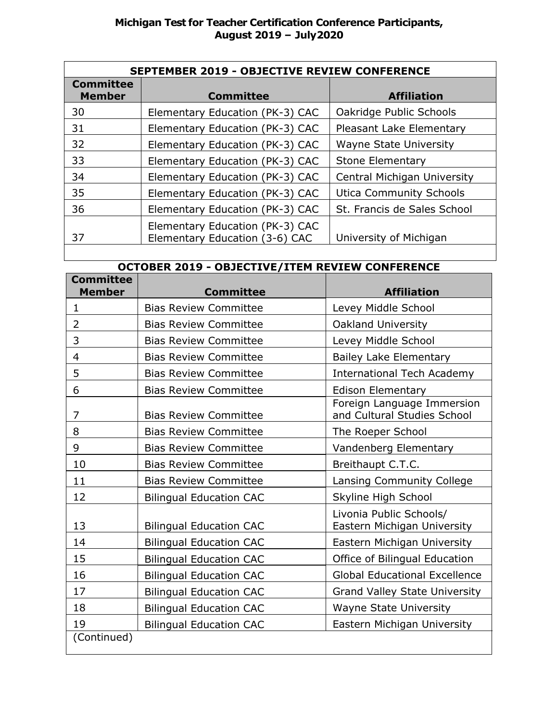# **Michigan Test for Teacher Certification Conference Participants, August 2019 – July2020**

| <b>SEPTEMBER 2019 - OBJECTIVE REVIEW CONFERENCE</b> |                                                                   |                                |  |  |
|-----------------------------------------------------|-------------------------------------------------------------------|--------------------------------|--|--|
| <b>Committee</b><br><b>Member</b>                   | <b>Committee</b>                                                  | <b>Affiliation</b>             |  |  |
| 30                                                  | Elementary Education (PK-3) CAC                                   | Oakridge Public Schools        |  |  |
| 31                                                  | Elementary Education (PK-3) CAC                                   | Pleasant Lake Elementary       |  |  |
| 32                                                  | Elementary Education (PK-3) CAC                                   | <b>Wayne State University</b>  |  |  |
| 33                                                  | Elementary Education (PK-3) CAC                                   | <b>Stone Elementary</b>        |  |  |
| 34                                                  | Elementary Education (PK-3) CAC                                   | Central Michigan University    |  |  |
| 35                                                  | Elementary Education (PK-3) CAC                                   | <b>Utica Community Schools</b> |  |  |
| 36                                                  | Elementary Education (PK-3) CAC                                   | St. Francis de Sales School    |  |  |
| 37                                                  | Elementary Education (PK-3) CAC<br>Elementary Education (3-6) CAC | University of Michigan         |  |  |

# **OCTOBER 2019 - OBJECTIVE/ITEM REVIEW CONFERENCE**

| <b>Committee</b><br><b>Member</b> | <b>Committee</b>               | <b>Affiliation</b>                                        |
|-----------------------------------|--------------------------------|-----------------------------------------------------------|
| $\mathbf{1}$                      | <b>Bias Review Committee</b>   | Levey Middle School                                       |
| 2                                 | <b>Bias Review Committee</b>   | Oakland University                                        |
| 3                                 | <b>Bias Review Committee</b>   | Levey Middle School                                       |
| $\overline{4}$                    | <b>Bias Review Committee</b>   | <b>Bailey Lake Elementary</b>                             |
| 5                                 | <b>Bias Review Committee</b>   | <b>International Tech Academy</b>                         |
| 6                                 | <b>Bias Review Committee</b>   | <b>Edison Elementary</b>                                  |
| 7                                 | <b>Bias Review Committee</b>   | Foreign Language Immersion<br>and Cultural Studies School |
| 8                                 | <b>Bias Review Committee</b>   | The Roeper School                                         |
| 9                                 | <b>Bias Review Committee</b>   | Vandenberg Elementary                                     |
| 10                                | <b>Bias Review Committee</b>   | Breithaupt C.T.C.                                         |
| 11                                | <b>Bias Review Committee</b>   | Lansing Community College                                 |
| 12                                | <b>Bilingual Education CAC</b> | Skyline High School                                       |
| 13                                | <b>Bilingual Education CAC</b> | Livonia Public Schools/<br>Eastern Michigan University    |
| 14                                | <b>Bilingual Education CAC</b> | Eastern Michigan University                               |
| 15                                | <b>Bilingual Education CAC</b> | Office of Bilingual Education                             |
| 16                                | <b>Bilingual Education CAC</b> | <b>Global Educational Excellence</b>                      |
| 17                                | <b>Bilingual Education CAC</b> | <b>Grand Valley State University</b>                      |
| 18                                | <b>Bilingual Education CAC</b> | <b>Wayne State University</b>                             |
| 19                                | <b>Bilingual Education CAC</b> | Eastern Michigan University                               |
| (Continued)                       |                                |                                                           |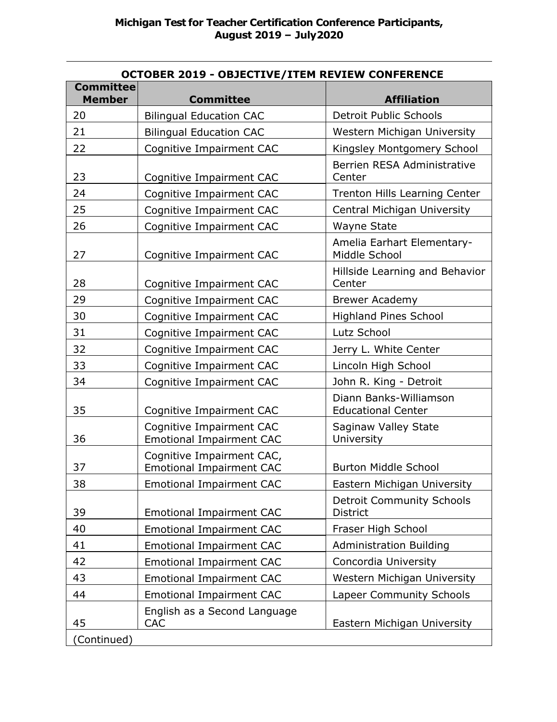| <b>OCTOBER 2019 - OBJECTIVE/ITEM REVIEW CONFERENCE</b> |                                                              |                                                     |  |  |
|--------------------------------------------------------|--------------------------------------------------------------|-----------------------------------------------------|--|--|
| <b>Committee</b><br><b>Member</b>                      | <b>Committee</b>                                             | <b>Affiliation</b>                                  |  |  |
| 20                                                     | <b>Bilingual Education CAC</b>                               | <b>Detroit Public Schools</b>                       |  |  |
| 21                                                     | <b>Bilingual Education CAC</b>                               | Western Michigan University                         |  |  |
| 22                                                     | Cognitive Impairment CAC                                     | Kingsley Montgomery School                          |  |  |
| 23                                                     | Cognitive Impairment CAC                                     | Berrien RESA Administrative<br>Center               |  |  |
| 24                                                     | Cognitive Impairment CAC                                     | <b>Trenton Hills Learning Center</b>                |  |  |
| 25                                                     | Cognitive Impairment CAC                                     | Central Michigan University                         |  |  |
| 26                                                     | Cognitive Impairment CAC                                     | <b>Wayne State</b>                                  |  |  |
| 27                                                     | Cognitive Impairment CAC                                     | Amelia Earhart Elementary-<br>Middle School         |  |  |
| 28                                                     | Cognitive Impairment CAC                                     | Hillside Learning and Behavior<br>Center            |  |  |
| 29                                                     | Cognitive Impairment CAC                                     | <b>Brewer Academy</b>                               |  |  |
| 30                                                     | Cognitive Impairment CAC                                     | <b>Highland Pines School</b>                        |  |  |
| 31                                                     | Cognitive Impairment CAC                                     | Lutz School                                         |  |  |
| 32                                                     | Cognitive Impairment CAC                                     | Jerry L. White Center                               |  |  |
| 33                                                     | Cognitive Impairment CAC                                     | Lincoln High School                                 |  |  |
| 34                                                     | Cognitive Impairment CAC                                     | John R. King - Detroit                              |  |  |
| 35                                                     | Cognitive Impairment CAC                                     | Diann Banks-Williamson<br><b>Educational Center</b> |  |  |
| 36                                                     | Cognitive Impairment CAC<br><b>Emotional Impairment CAC</b>  | Saginaw Valley State<br>University                  |  |  |
| 37                                                     | Cognitive Impairment CAC,<br><b>Emotional Impairment CAC</b> | <b>Burton Middle School</b>                         |  |  |
| 38                                                     | <b>Emotional Impairment CAC</b>                              | Eastern Michigan University                         |  |  |
| 39                                                     | <b>Emotional Impairment CAC</b>                              | <b>Detroit Community Schools</b><br><b>District</b> |  |  |
| 40                                                     | <b>Emotional Impairment CAC</b>                              | Fraser High School                                  |  |  |
| 41                                                     | <b>Emotional Impairment CAC</b>                              | <b>Administration Building</b>                      |  |  |
| 42                                                     | <b>Emotional Impairment CAC</b>                              | Concordia University                                |  |  |
| 43                                                     | <b>Emotional Impairment CAC</b>                              | Western Michigan University                         |  |  |
| 44                                                     | <b>Emotional Impairment CAC</b>                              | Lapeer Community Schools                            |  |  |
| 45                                                     | English as a Second Language<br><b>CAC</b>                   | Eastern Michigan University                         |  |  |
| (Continued)                                            |                                                              |                                                     |  |  |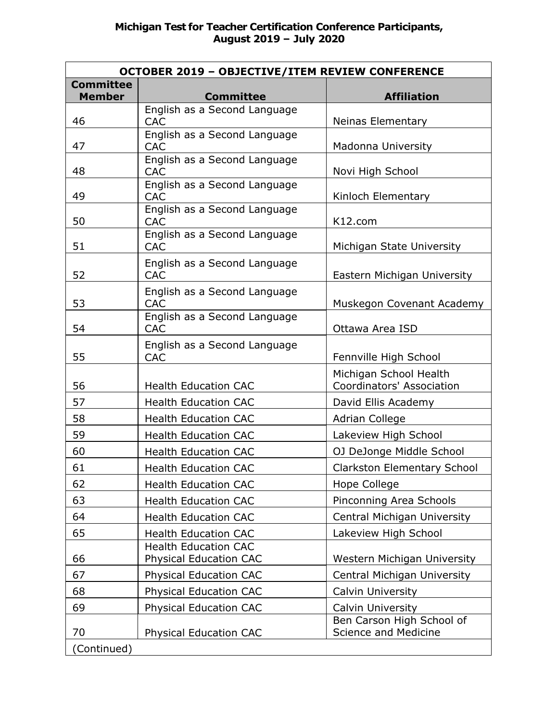| <b>OCTOBER 2019 - OBJECTIVE/ITEM REVIEW CONFERENCE</b> |                                                              |                                                     |  |  |
|--------------------------------------------------------|--------------------------------------------------------------|-----------------------------------------------------|--|--|
| <b>Committee</b>                                       |                                                              |                                                     |  |  |
| <b>Member</b>                                          | <b>Committee</b><br>English as a Second Language             | <b>Affiliation</b>                                  |  |  |
| 46                                                     | <b>CAC</b>                                                   | Neinas Elementary                                   |  |  |
| 47                                                     | English as a Second Language<br><b>CAC</b>                   | Madonna University                                  |  |  |
| 48                                                     | English as a Second Language<br><b>CAC</b>                   | Novi High School                                    |  |  |
| 49                                                     | English as a Second Language<br><b>CAC</b>                   | Kinloch Elementary                                  |  |  |
| 50                                                     | English as a Second Language<br><b>CAC</b>                   | K12.com                                             |  |  |
| 51                                                     | English as a Second Language<br><b>CAC</b>                   | Michigan State University                           |  |  |
| 52                                                     | English as a Second Language<br>CAC                          | Eastern Michigan University                         |  |  |
| 53                                                     | English as a Second Language<br><b>CAC</b>                   | Muskegon Covenant Academy                           |  |  |
| 54                                                     | English as a Second Language<br>CAC                          | Ottawa Area ISD                                     |  |  |
| 55                                                     | English as a Second Language<br><b>CAC</b>                   | Fennville High School                               |  |  |
| 56                                                     | <b>Health Education CAC</b>                                  | Michigan School Health<br>Coordinators' Association |  |  |
| 57                                                     | <b>Health Education CAC</b>                                  | David Ellis Academy                                 |  |  |
| 58                                                     | <b>Health Education CAC</b>                                  | <b>Adrian College</b>                               |  |  |
| 59                                                     | <b>Health Education CAC</b>                                  | Lakeview High School                                |  |  |
| 60                                                     | <b>Health Education CAC</b>                                  | OJ DeJonge Middle School                            |  |  |
| 61                                                     | <b>Health Education CAC</b>                                  | <b>Clarkston Elementary School</b>                  |  |  |
| 62                                                     | <b>Health Education CAC</b>                                  | Hope College                                        |  |  |
| 63                                                     | <b>Health Education CAC</b>                                  | Pinconning Area Schools                             |  |  |
| 64                                                     | <b>Health Education CAC</b>                                  | Central Michigan University                         |  |  |
| 65                                                     | <b>Health Education CAC</b>                                  | Lakeview High School                                |  |  |
| 66                                                     | <b>Health Education CAC</b><br><b>Physical Education CAC</b> | Western Michigan University                         |  |  |
| 67                                                     | <b>Physical Education CAC</b>                                | Central Michigan University                         |  |  |
| 68                                                     | <b>Physical Education CAC</b>                                | <b>Calvin University</b>                            |  |  |
| 69                                                     | <b>Physical Education CAC</b>                                | <b>Calvin University</b>                            |  |  |
| 70                                                     | <b>Physical Education CAC</b>                                | Ben Carson High School of<br>Science and Medicine   |  |  |
| (Continued)                                            |                                                              |                                                     |  |  |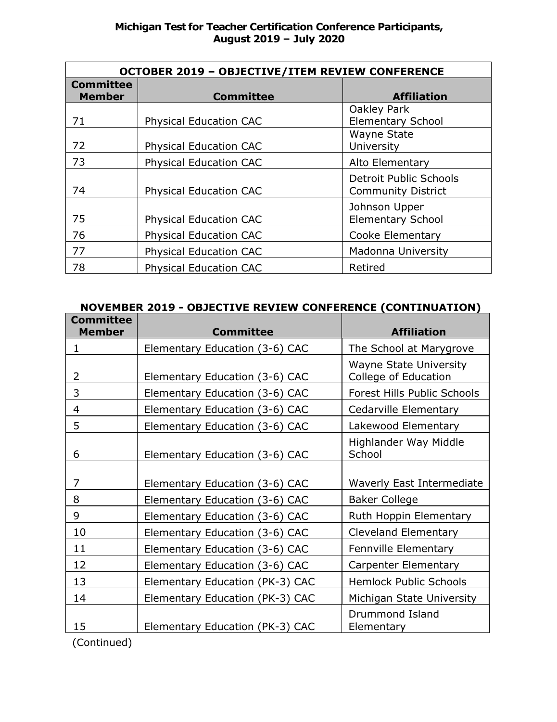# **August 2019 – July 2020 Michigan Test for Teacher Certification Conference Participants,**

| <b>OCTOBER 2019 - OBJECTIVE/ITEM REVIEW CONFERENCE</b> |                               |                                                     |  |  |
|--------------------------------------------------------|-------------------------------|-----------------------------------------------------|--|--|
| <b>Committee</b><br><b>Member</b>                      | <b>Committee</b>              | <b>Affiliation</b>                                  |  |  |
| 71                                                     | <b>Physical Education CAC</b> | Oakley Park<br><b>Elementary School</b>             |  |  |
| 72                                                     | <b>Physical Education CAC</b> | Wayne State<br>University                           |  |  |
| 73                                                     | <b>Physical Education CAC</b> | Alto Elementary                                     |  |  |
| 74                                                     | <b>Physical Education CAC</b> | Detroit Public Schools<br><b>Community District</b> |  |  |
| 75                                                     | <b>Physical Education CAC</b> | Johnson Upper<br><b>Elementary School</b>           |  |  |
| 76                                                     | <b>Physical Education CAC</b> | Cooke Elementary                                    |  |  |
| 77                                                     | <b>Physical Education CAC</b> | Madonna University                                  |  |  |
| 78                                                     | <b>Physical Education CAC</b> | Retired                                             |  |  |

#### **NOVEMBER 2019 - OBJECTIVE REVIEW CONFERENCE (CONTINUATION)**

| <b>Committee</b><br><b>Member</b> | <b>Committee</b>                | <b>Affiliation</b>                                    |
|-----------------------------------|---------------------------------|-------------------------------------------------------|
| 1                                 | Elementary Education (3-6) CAC  | The School at Marygrove                               |
| 2                                 | Elementary Education (3-6) CAC  | <b>Wayne State University</b><br>College of Education |
| 3                                 | Elementary Education (3-6) CAC  | Forest Hills Public Schools                           |
| 4                                 | Elementary Education (3-6) CAC  | Cedarville Elementary                                 |
| 5                                 | Elementary Education (3-6) CAC  | Lakewood Elementary                                   |
| 6                                 | Elementary Education (3-6) CAC  | Highlander Way Middle<br>School                       |
| 7                                 | Elementary Education (3-6) CAC  | Waverly East Intermediate                             |
| 8                                 | Elementary Education (3-6) CAC  | <b>Baker College</b>                                  |
| 9                                 | Elementary Education (3-6) CAC  | Ruth Hoppin Elementary                                |
| 10                                | Elementary Education (3-6) CAC  | <b>Cleveland Elementary</b>                           |
| 11                                | Elementary Education (3-6) CAC  | Fennville Elementary                                  |
| 12                                | Elementary Education (3-6) CAC  | <b>Carpenter Elementary</b>                           |
| 13                                | Elementary Education (PK-3) CAC | <b>Hemlock Public Schools</b>                         |
| 14                                | Elementary Education (PK-3) CAC | Michigan State University                             |
| 15                                | Elementary Education (PK-3) CAC | <b>Drummond Island</b><br>Elementary                  |

(Continued)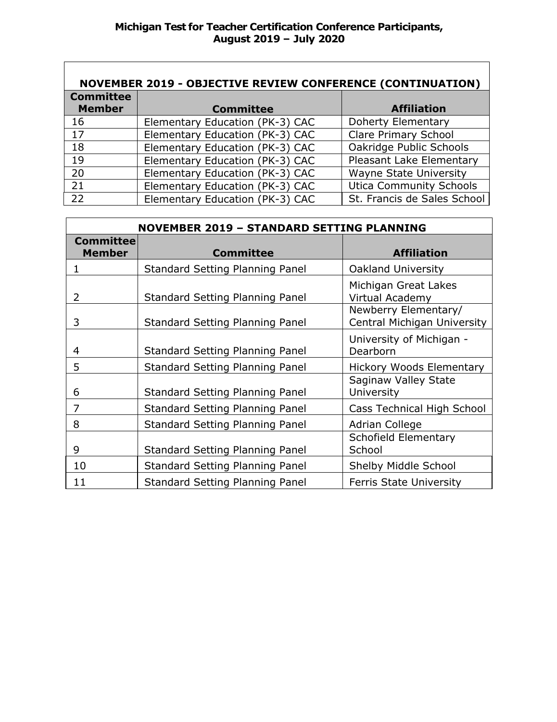| <b>NOVEMBER 2019 - OBJECTIVE REVIEW CONFERENCE (CONTINUATION)</b> |                                 |                                 |  |  |  |
|-------------------------------------------------------------------|---------------------------------|---------------------------------|--|--|--|
| <b>Committee</b><br><b>Member</b>                                 | <b>Committee</b>                | <b>Affiliation</b>              |  |  |  |
| 16                                                                | Elementary Education (PK-3) CAC | Doherty Elementary              |  |  |  |
| 17                                                                | Elementary Education (PK-3) CAC | <b>Clare Primary School</b>     |  |  |  |
| 18                                                                | Elementary Education (PK-3) CAC | Oakridge Public Schools         |  |  |  |
| 19                                                                | Elementary Education (PK-3) CAC | <b>Pleasant Lake Elementary</b> |  |  |  |
| 20                                                                | Elementary Education (PK-3) CAC | <b>Wayne State University</b>   |  |  |  |
| 21                                                                | Elementary Education (PK-3) CAC | <b>Utica Community Schools</b>  |  |  |  |
| 22                                                                | Elementary Education (PK-3) CAC | St. Francis de Sales School     |  |  |  |

| <b>NOVEMBER 2019 - STANDARD SETTING PLANNING</b> |                                        |                                                     |  |  |
|--------------------------------------------------|----------------------------------------|-----------------------------------------------------|--|--|
| <b>Committee</b><br><b>Member</b>                | <b>Committee</b>                       | <b>Affiliation</b>                                  |  |  |
|                                                  | <b>Standard Setting Planning Panel</b> | Oakland University                                  |  |  |
| 2                                                | <b>Standard Setting Planning Panel</b> | Michigan Great Lakes<br>Virtual Academy             |  |  |
| 3                                                | <b>Standard Setting Planning Panel</b> | Newberry Elementary/<br>Central Michigan University |  |  |
| 4                                                | <b>Standard Setting Planning Panel</b> | University of Michigan -<br>Dearborn                |  |  |
| 5                                                | <b>Standard Setting Planning Panel</b> | Hickory Woods Elementary                            |  |  |
| 6                                                | <b>Standard Setting Planning Panel</b> | Saginaw Valley State<br>University                  |  |  |
| 7                                                | <b>Standard Setting Planning Panel</b> | Cass Technical High School                          |  |  |
| 8                                                | <b>Standard Setting Planning Panel</b> | Adrian College                                      |  |  |
| 9                                                | <b>Standard Setting Planning Panel</b> | Schofield Elementary<br>School                      |  |  |
| 10                                               | <b>Standard Setting Planning Panel</b> | Shelby Middle School                                |  |  |
| 11                                               | <b>Standard Setting Planning Panel</b> | <b>Ferris State University</b>                      |  |  |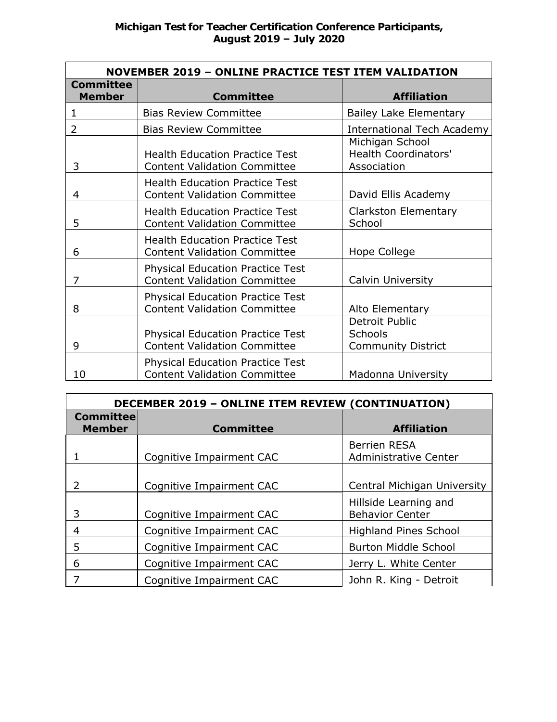| NOVEMBER 2019 - ONLINE PRACTICE TEST ITEM VALIDATION |                                                                                |                                                               |  |
|------------------------------------------------------|--------------------------------------------------------------------------------|---------------------------------------------------------------|--|
| <b>Committee</b><br><b>Member</b>                    | <b>Committee</b>                                                               | <b>Affiliation</b>                                            |  |
| 1                                                    | <b>Bias Review Committee</b>                                                   | <b>Bailey Lake Elementary</b>                                 |  |
| 2                                                    | <b>Bias Review Committee</b>                                                   | <b>International Tech Academy</b>                             |  |
| 3                                                    | <b>Health Education Practice Test</b><br><b>Content Validation Committee</b>   | Michigan School<br><b>Health Coordinators'</b><br>Association |  |
| 4                                                    | <b>Health Education Practice Test</b><br><b>Content Validation Committee</b>   | David Ellis Academy                                           |  |
| 5                                                    | <b>Health Education Practice Test</b><br><b>Content Validation Committee</b>   | <b>Clarkston Elementary</b><br>School                         |  |
| 6                                                    | <b>Health Education Practice Test</b><br><b>Content Validation Committee</b>   | <b>Hope College</b>                                           |  |
| 7                                                    | <b>Physical Education Practice Test</b><br><b>Content Validation Committee</b> | <b>Calvin University</b>                                      |  |
| 8                                                    | <b>Physical Education Practice Test</b><br><b>Content Validation Committee</b> | Alto Elementary                                               |  |
| 9                                                    | <b>Physical Education Practice Test</b><br><b>Content Validation Committee</b> | Detroit Public<br><b>Schools</b><br><b>Community District</b> |  |
| 10                                                   | <b>Physical Education Practice Test</b><br><b>Content Validation Committee</b> | Madonna University                                            |  |

| <b>DECEMBER 2019 - ONLINE ITEM REVIEW (CONTINUATION)</b> |                                        |                                                     |  |  |  |
|----------------------------------------------------------|----------------------------------------|-----------------------------------------------------|--|--|--|
| <b>Committee</b><br><b>Member</b>                        | <b>Committee</b><br><b>Affiliation</b> |                                                     |  |  |  |
|                                                          | Cognitive Impairment CAC               | <b>Berrien RESA</b><br><b>Administrative Center</b> |  |  |  |
| 2                                                        | Cognitive Impairment CAC               | Central Michigan University                         |  |  |  |
| 3                                                        | Cognitive Impairment CAC               | Hillside Learning and<br><b>Behavior Center</b>     |  |  |  |
| 4                                                        | Cognitive Impairment CAC               | <b>Highland Pines School</b>                        |  |  |  |
| 5                                                        | Cognitive Impairment CAC               | <b>Burton Middle School</b>                         |  |  |  |
| 6                                                        | Cognitive Impairment CAC               | Jerry L. White Center                               |  |  |  |
|                                                          | Cognitive Impairment CAC               | John R. King - Detroit                              |  |  |  |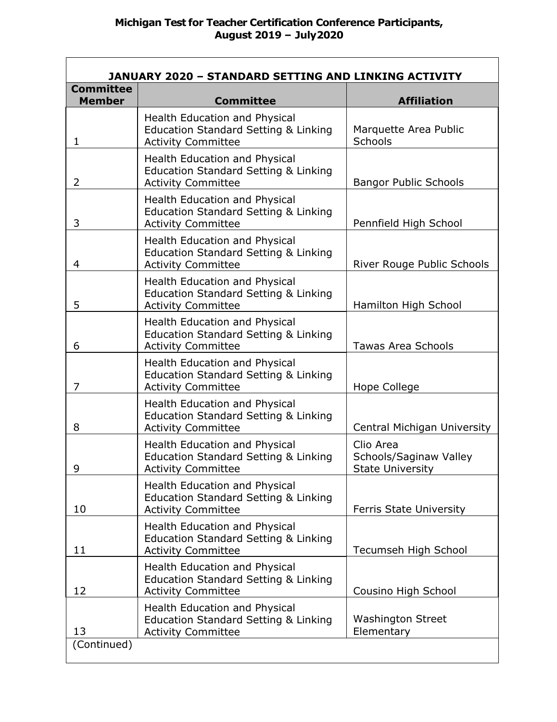$\Gamma$ 

| <b>JANUARY 2020 - STANDARD SETTING AND LINKING ACTIVITY</b> |                                                                                                                      |                                                                |  |  |
|-------------------------------------------------------------|----------------------------------------------------------------------------------------------------------------------|----------------------------------------------------------------|--|--|
| <b>Committee</b><br><b>Member</b>                           | <b>Committee</b>                                                                                                     | <b>Affiliation</b>                                             |  |  |
| 1                                                           | Health Education and Physical<br><b>Education Standard Setting &amp; Linking</b><br><b>Activity Committee</b>        | Marquette Area Public<br>Schools                               |  |  |
| 2                                                           | Health Education and Physical<br><b>Education Standard Setting &amp; Linking</b><br><b>Activity Committee</b>        | <b>Bangor Public Schools</b>                                   |  |  |
| 3                                                           | Health Education and Physical<br><b>Education Standard Setting &amp; Linking</b><br><b>Activity Committee</b>        | Pennfield High School                                          |  |  |
| 4                                                           | <b>Health Education and Physical</b><br><b>Education Standard Setting &amp; Linking</b><br><b>Activity Committee</b> | River Rouge Public Schools                                     |  |  |
| 5                                                           | Health Education and Physical<br><b>Education Standard Setting &amp; Linking</b><br><b>Activity Committee</b>        | Hamilton High School                                           |  |  |
| 6                                                           | Health Education and Physical<br><b>Education Standard Setting &amp; Linking</b><br><b>Activity Committee</b>        | <b>Tawas Area Schools</b>                                      |  |  |
| $\overline{7}$                                              | Health Education and Physical<br><b>Education Standard Setting &amp; Linking</b><br><b>Activity Committee</b>        | Hope College                                                   |  |  |
| 8                                                           | Health Education and Physical<br><b>Education Standard Setting &amp; Linking</b><br><b>Activity Committee</b>        | Central Michigan University                                    |  |  |
| 9                                                           | Health Education and Physical<br><b>Education Standard Setting &amp; Linking</b><br><b>Activity Committee</b>        | Clio Area<br>Schools/Saginaw Valley<br><b>State University</b> |  |  |
| 10                                                          | <b>Health Education and Physical</b><br>Education Standard Setting & Linking<br><b>Activity Committee</b>            | <b>Ferris State University</b>                                 |  |  |
| 11                                                          | Health Education and Physical<br><b>Education Standard Setting &amp; Linking</b><br><b>Activity Committee</b>        | Tecumseh High School                                           |  |  |
| 12                                                          | <b>Health Education and Physical</b><br><b>Education Standard Setting &amp; Linking</b><br><b>Activity Committee</b> | Cousino High School                                            |  |  |
| 13                                                          | Health Education and Physical<br><b>Education Standard Setting &amp; Linking</b><br><b>Activity Committee</b>        | <b>Washington Street</b><br>Elementary                         |  |  |
| (Continued)                                                 |                                                                                                                      |                                                                |  |  |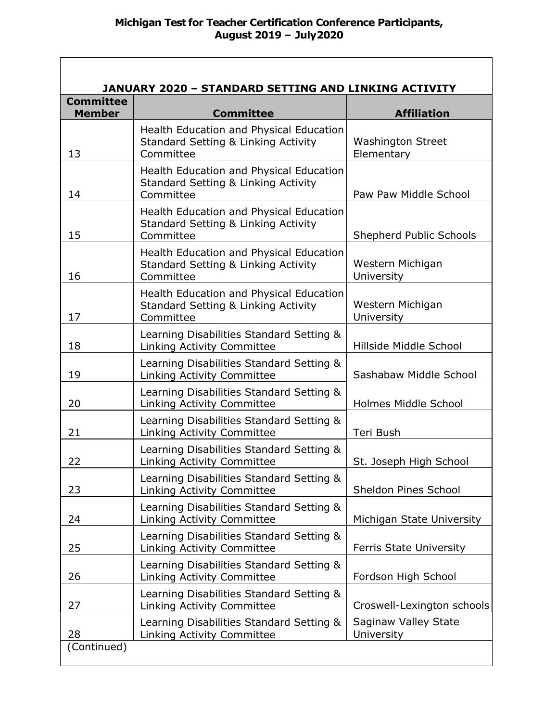┑

 $\overline{1}$ 

| <b>Committee</b><br><b>Member</b> | <b>Committee</b>                                                                                       | <b>Affiliation</b><br><b>Washington Street</b><br>Elementary |  |  |
|-----------------------------------|--------------------------------------------------------------------------------------------------------|--------------------------------------------------------------|--|--|
| 13                                | Health Education and Physical Education<br><b>Standard Setting &amp; Linking Activity</b><br>Committee |                                                              |  |  |
| 14                                | Health Education and Physical Education<br><b>Standard Setting &amp; Linking Activity</b><br>Committee | Paw Paw Middle School                                        |  |  |
| 15                                | Health Education and Physical Education<br><b>Standard Setting &amp; Linking Activity</b><br>Committee | <b>Shepherd Public Schools</b>                               |  |  |
| 16                                | Health Education and Physical Education<br><b>Standard Setting &amp; Linking Activity</b><br>Committee | Western Michigan<br>University                               |  |  |
| 17                                | Health Education and Physical Education<br><b>Standard Setting &amp; Linking Activity</b><br>Committee | Western Michigan<br>University                               |  |  |
| 18                                | Learning Disabilities Standard Setting &<br>Linking Activity Committee                                 | Hillside Middle School                                       |  |  |
| 19                                | Learning Disabilities Standard Setting &<br>Linking Activity Committee                                 | Sashabaw Middle School                                       |  |  |
| 20                                | Learning Disabilities Standard Setting &<br><b>Linking Activity Committee</b>                          | Holmes Middle School                                         |  |  |
| 21                                | Learning Disabilities Standard Setting &<br><b>Linking Activity Committee</b>                          | Teri Bush                                                    |  |  |
| 22                                | Learning Disabilities Standard Setting &<br>Linking Activity Committee                                 | St. Joseph High School                                       |  |  |
| 23                                | Learning Disabilities Standard Setting &<br>Linking Activity Committee                                 | Sheldon Pines School                                         |  |  |
| 24                                | Learning Disabilities Standard Setting &<br>Linking Activity Committee                                 | Michigan State University                                    |  |  |
| 25                                | Learning Disabilities Standard Setting &<br>Linking Activity Committee                                 | <b>Ferris State University</b>                               |  |  |
| 26                                | Learning Disabilities Standard Setting &<br>Linking Activity Committee                                 | Fordson High School                                          |  |  |
| 27                                | Learning Disabilities Standard Setting &<br>Linking Activity Committee                                 | Croswell-Lexington schools                                   |  |  |
| 28                                | Learning Disabilities Standard Setting &<br>Linking Activity Committee                                 | Saginaw Valley State<br>University                           |  |  |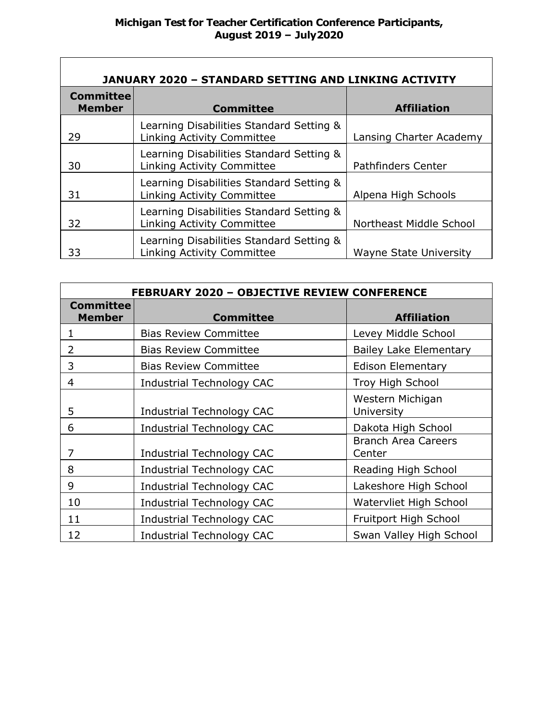٦

| <b>JANUARY 2020 - STANDARD SETTING AND LINKING ACTIVITY</b>                 |                                                                        |                               |  |  |  |
|-----------------------------------------------------------------------------|------------------------------------------------------------------------|-------------------------------|--|--|--|
| <b>Committee</b><br><b>Member</b><br><b>Affiliation</b><br><b>Committee</b> |                                                                        |                               |  |  |  |
| 29                                                                          | Learning Disabilities Standard Setting &<br>Linking Activity Committee | Lansing Charter Academy       |  |  |  |
| 30                                                                          | Learning Disabilities Standard Setting &<br>Linking Activity Committee | Pathfinders Center            |  |  |  |
| 31                                                                          | Learning Disabilities Standard Setting &<br>Linking Activity Committee | Alpena High Schools           |  |  |  |
| 32                                                                          | Learning Disabilities Standard Setting &<br>Linking Activity Committee | Northeast Middle School       |  |  |  |
| 33                                                                          | Learning Disabilities Standard Setting &<br>Linking Activity Committee | <b>Wayne State University</b> |  |  |  |

| <b>FEBRUARY 2020 - OBJECTIVE REVIEW CONFERENCE</b> |                                  |                                      |  |
|----------------------------------------------------|----------------------------------|--------------------------------------|--|
| <b>Committee</b><br><b>Member</b>                  | <b>Committee</b>                 | <b>Affiliation</b>                   |  |
| 1                                                  | <b>Bias Review Committee</b>     | Levey Middle School                  |  |
| 2                                                  | <b>Bias Review Committee</b>     | <b>Bailey Lake Elementary</b>        |  |
| 3                                                  | <b>Bias Review Committee</b>     | <b>Edison Elementary</b>             |  |
| 4                                                  | <b>Industrial Technology CAC</b> | Troy High School                     |  |
| 5                                                  | Industrial Technology CAC        | Western Michigan<br>University       |  |
| 6                                                  | <b>Industrial Technology CAC</b> | Dakota High School                   |  |
| 7                                                  | <b>Industrial Technology CAC</b> | <b>Branch Area Careers</b><br>Center |  |
| 8                                                  | Industrial Technology CAC        | Reading High School                  |  |
| 9                                                  | <b>Industrial Technology CAC</b> | Lakeshore High School                |  |
| 10                                                 | <b>Industrial Technology CAC</b> | Watervliet High School               |  |
| 11                                                 | <b>Industrial Technology CAC</b> | Fruitport High School                |  |
| 12                                                 | Industrial Technology CAC        | Swan Valley High School              |  |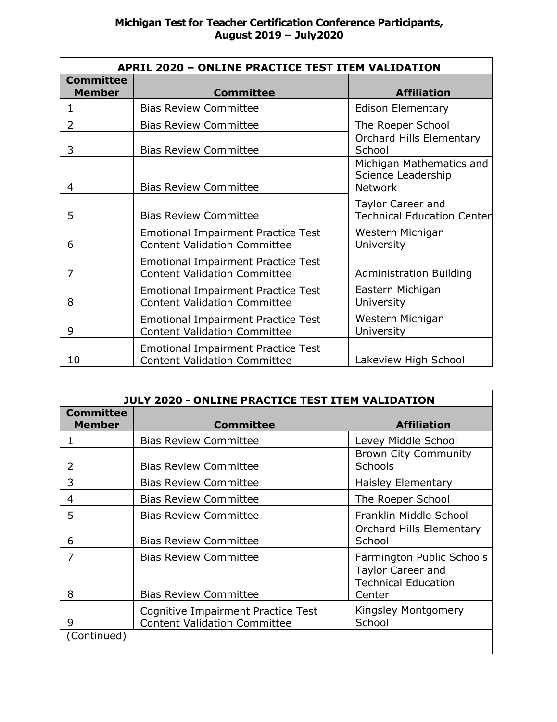#### **Michigan Test for Teacher Certification Conference Participants, August 2019 – July2020**

| <b>APRIL 2020 - ONLINE PRACTICE TEST ITEM VALIDATION</b> |                                                                                  |                                                                  |  |
|----------------------------------------------------------|----------------------------------------------------------------------------------|------------------------------------------------------------------|--|
| <b>Committee</b><br><b>Member</b>                        | <b>Committee</b>                                                                 | <b>Affiliation</b>                                               |  |
| 1                                                        | <b>Bias Review Committee</b>                                                     | <b>Edison Elementary</b>                                         |  |
| $\overline{2}$                                           | <b>Bias Review Committee</b>                                                     | The Roeper School                                                |  |
| 3                                                        | <b>Bias Review Committee</b>                                                     | <b>Orchard Hills Elementary</b><br>School                        |  |
| 4                                                        | <b>Bias Review Committee</b>                                                     | Michigan Mathematics and<br>Science Leadership<br><b>Network</b> |  |
| 5                                                        | <b>Bias Review Committee</b>                                                     | <b>Taylor Career and</b><br><b>Technical Education Center</b>    |  |
| 6                                                        | <b>Emotional Impairment Practice Test</b><br><b>Content Validation Committee</b> | Western Michigan<br>University                                   |  |
| 7                                                        | <b>Emotional Impairment Practice Test</b><br><b>Content Validation Committee</b> | <b>Administration Building</b>                                   |  |
| 8                                                        | <b>Emotional Impairment Practice Test</b><br><b>Content Validation Committee</b> | Eastern Michigan<br>University                                   |  |
| 9                                                        | <b>Emotional Impairment Practice Test</b><br><b>Content Validation Committee</b> | Western Michigan<br>University                                   |  |
| 10                                                       | <b>Emotional Impairment Practice Test</b><br><b>Content Validation Committee</b> | Lakeview High School                                             |  |

| JULY 2020 - ONLINE PRACTICE TEST ITEM VALIDATION |                                                                           |                                                                  |  |  |  |  |
|--------------------------------------------------|---------------------------------------------------------------------------|------------------------------------------------------------------|--|--|--|--|
| <b>Committee</b><br><b>Member</b>                | <b>Committee</b><br><b>Affiliation</b>                                    |                                                                  |  |  |  |  |
| 1                                                | <b>Bias Review Committee</b>                                              | Levey Middle School                                              |  |  |  |  |
| 2                                                | <b>Bias Review Committee</b>                                              | <b>Brown City Community</b><br><b>Schools</b>                    |  |  |  |  |
| 3                                                | <b>Bias Review Committee</b>                                              | <b>Haisley Elementary</b>                                        |  |  |  |  |
| 4                                                | <b>Bias Review Committee</b>                                              | The Roeper School                                                |  |  |  |  |
| 5                                                | <b>Bias Review Committee</b>                                              | Franklin Middle School                                           |  |  |  |  |
| 6                                                | <b>Bias Review Committee</b>                                              | Orchard Hills Elementary<br>School                               |  |  |  |  |
| 7                                                | <b>Bias Review Committee</b>                                              | Farmington Public Schools                                        |  |  |  |  |
| 8                                                | <b>Bias Review Committee</b>                                              | <b>Taylor Career and</b><br><b>Technical Education</b><br>Center |  |  |  |  |
| 9                                                | Cognitive Impairment Practice Test<br><b>Content Validation Committee</b> | Kingsley Montgomery<br>School                                    |  |  |  |  |
| (Continued)                                      |                                                                           |                                                                  |  |  |  |  |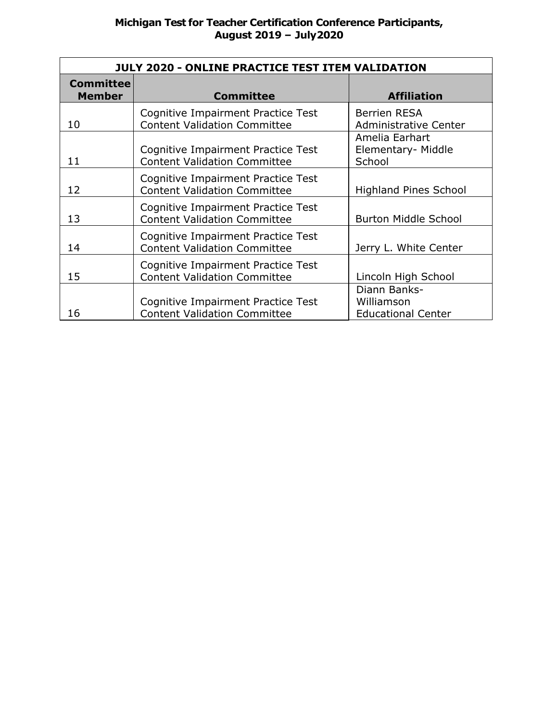| JULY 2020 - ONLINE PRACTICE TEST ITEM VALIDATION |                                                                                                                             |                                                         |  |  |  |  |
|--------------------------------------------------|-----------------------------------------------------------------------------------------------------------------------------|---------------------------------------------------------|--|--|--|--|
| <b>Committee</b><br><b>Member</b>                | <b>Committee</b><br><b>Affiliation</b>                                                                                      |                                                         |  |  |  |  |
| 10                                               | Cognitive Impairment Practice Test<br><b>Content Validation Committee</b>                                                   | <b>Berrien RESA</b><br>Administrative Center            |  |  |  |  |
| 11                                               | Amelia Earhart<br>Cognitive Impairment Practice Test<br>Elementary- Middle<br><b>Content Validation Committee</b><br>School |                                                         |  |  |  |  |
| 12                                               | Cognitive Impairment Practice Test<br><b>Content Validation Committee</b>                                                   | <b>Highland Pines School</b>                            |  |  |  |  |
| 13                                               | Cognitive Impairment Practice Test<br><b>Content Validation Committee</b>                                                   | <b>Burton Middle School</b>                             |  |  |  |  |
| 14                                               | Cognitive Impairment Practice Test<br><b>Content Validation Committee</b>                                                   | Jerry L. White Center                                   |  |  |  |  |
| 15                                               | Cognitive Impairment Practice Test<br><b>Content Validation Committee</b>                                                   | Lincoln High School                                     |  |  |  |  |
| 16                                               | Cognitive Impairment Practice Test<br><b>Content Validation Committee</b>                                                   | Diann Banks-<br>Williamson<br><b>Educational Center</b> |  |  |  |  |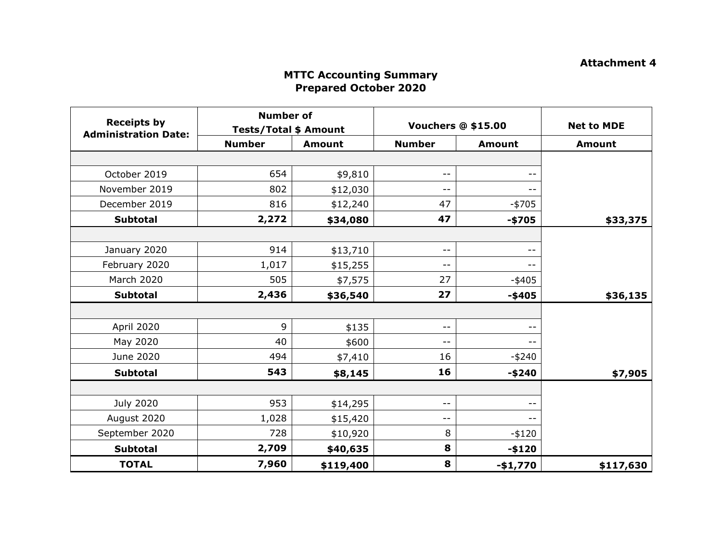### **Attachment 4**

#### **MTTC Accounting Summary Prepared October 2020**

| <b>Receipts by</b>          | <b>Number of</b><br><b>Tests/Total \$ Amount</b> |               |                            | Vouchers @ \$15.00 | <b>Net to MDE</b> |
|-----------------------------|--------------------------------------------------|---------------|----------------------------|--------------------|-------------------|
| <b>Administration Date:</b> | <b>Number</b>                                    | <b>Amount</b> | <b>Number</b>              | <b>Amount</b>      | <b>Amount</b>     |
|                             |                                                  |               |                            |                    |                   |
| October 2019                | 654                                              | \$9,810       | $ -$                       |                    |                   |
| November 2019               | 802                                              | \$12,030      | $ -$                       |                    |                   |
| December 2019               | 816                                              | \$12,240      | 47                         | $-$ \$705          |                   |
| <b>Subtotal</b>             | 2,272                                            | \$34,080      | 47                         | $-$705$            | \$33,375          |
|                             |                                                  |               |                            |                    |                   |
| January 2020                | 914                                              | \$13,710      | $\overline{\phantom{m}}$ . | --                 |                   |
| February 2020               | 1,017                                            | \$15,255      | $ -$                       | $- -$              |                   |
| <b>March 2020</b>           | 505                                              | \$7,575       | 27                         | $-$ \$405          |                   |
| <b>Subtotal</b>             | 2,436                                            | \$36,540      | 27                         | $-$ \$405          | \$36,135          |
|                             |                                                  |               |                            |                    |                   |
| April 2020                  | 9                                                | \$135         | $ -$                       | --                 |                   |
| May 2020                    | 40                                               | \$600         | $\overline{\phantom{m}}$   | --                 |                   |
| June 2020                   | 494                                              | \$7,410       | 16                         | $-$ \$240          |                   |
| <b>Subtotal</b>             | 543                                              | \$8,145       | 16                         | $-$ \$240          | \$7,905           |
|                             |                                                  |               |                            |                    |                   |
| <b>July 2020</b>            | 953                                              | \$14,295      | $ -$                       | --                 |                   |
| August 2020                 | 1,028                                            | \$15,420      | $ -$                       |                    |                   |
| September 2020              | 728                                              | \$10,920      | 8                          | $-$120$            |                   |
| <b>Subtotal</b>             | 2,709                                            | \$40,635      | 8                          | $-$120$            |                   |
| <b>TOTAL</b>                | 7,960                                            | \$119,400     | 8                          | $-$1,770$          | \$117,630         |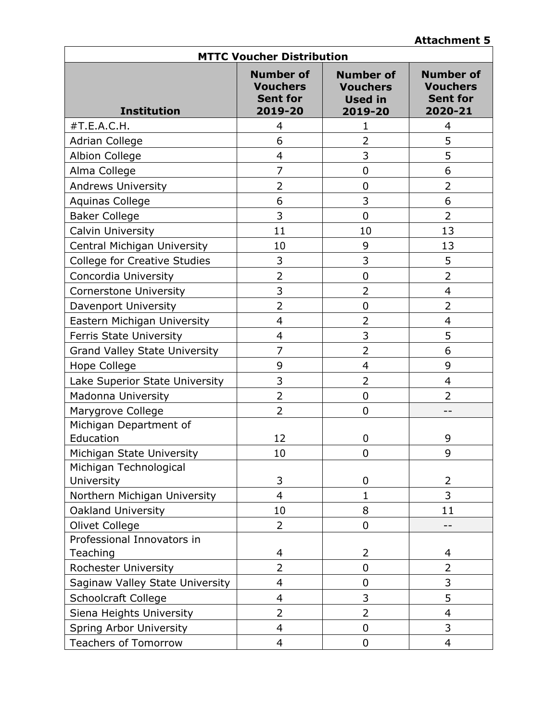# **Attachment 5**

| <b>MTTC Voucher Distribution</b>     |                                                                   |                                                                  |                                                                   |  |
|--------------------------------------|-------------------------------------------------------------------|------------------------------------------------------------------|-------------------------------------------------------------------|--|
| <b>Institution</b>                   | <b>Number of</b><br><b>Vouchers</b><br><b>Sent for</b><br>2019-20 | <b>Number of</b><br><b>Vouchers</b><br><b>Used in</b><br>2019-20 | <b>Number of</b><br><b>Vouchers</b><br><b>Sent for</b><br>2020-21 |  |
| #T.E.A.C.H.                          | 4                                                                 | $\mathbf 1$                                                      | $\overline{4}$                                                    |  |
| <b>Adrian College</b>                | 6                                                                 | 2                                                                | 5                                                                 |  |
| Albion College                       | 4                                                                 | 3                                                                | 5                                                                 |  |
| Alma College                         | 7                                                                 | $\mathbf 0$                                                      | 6                                                                 |  |
| <b>Andrews University</b>            | $\overline{2}$                                                    | 0                                                                | $\overline{2}$                                                    |  |
| Aquinas College                      | 6                                                                 | 3                                                                | 6                                                                 |  |
| <b>Baker College</b>                 | 3                                                                 | 0                                                                | $\overline{2}$                                                    |  |
| <b>Calvin University</b>             | 11                                                                | 10                                                               | 13                                                                |  |
| Central Michigan University          | 10                                                                | 9                                                                | 13                                                                |  |
| <b>College for Creative Studies</b>  | 3                                                                 | 3                                                                | 5                                                                 |  |
| Concordia University                 | $\overline{2}$                                                    | 0                                                                | $\overline{2}$                                                    |  |
| <b>Cornerstone University</b>        | 3                                                                 | 2                                                                | 4                                                                 |  |
| Davenport University                 | $\overline{2}$                                                    | 0                                                                | $\overline{2}$                                                    |  |
| Eastern Michigan University          | 4                                                                 | $\overline{2}$                                                   | $\overline{4}$                                                    |  |
| <b>Ferris State University</b>       | 4                                                                 | 3                                                                | 5                                                                 |  |
| Grand Valley State University        | $\overline{7}$                                                    | $\overline{2}$                                                   | 6                                                                 |  |
| Hope College                         | 9                                                                 | 4                                                                | 9                                                                 |  |
| Lake Superior State University       | 3                                                                 | $\overline{2}$                                                   | 4                                                                 |  |
| Madonna University                   | $\overline{2}$                                                    | $\mathbf 0$                                                      | $\overline{2}$                                                    |  |
| Marygrove College                    | $\overline{2}$                                                    | $\mathbf 0$                                                      |                                                                   |  |
| Michigan Department of<br>Education  | 12                                                                | 0                                                                | 9                                                                 |  |
| Michigan State University            | 10                                                                | 0                                                                | 9                                                                 |  |
| Michigan Technological<br>University | 3                                                                 | 0                                                                | 2                                                                 |  |
| Northern Michigan University         | 4                                                                 | $\mathbf{1}$                                                     | 3                                                                 |  |
| <b>Oakland University</b>            | 10                                                                | 8                                                                | 11                                                                |  |
| <b>Olivet College</b>                | $\overline{2}$                                                    | 0                                                                |                                                                   |  |
| Professional Innovators in           |                                                                   |                                                                  |                                                                   |  |
| Teaching                             | 4                                                                 | 2                                                                | 4                                                                 |  |
| Rochester University                 | $\overline{2}$                                                    | 0                                                                | $\overline{2}$                                                    |  |
| Saginaw Valley State University      | 4                                                                 | 0                                                                | 3                                                                 |  |
| <b>Schoolcraft College</b>           | 4                                                                 | 3                                                                | 5                                                                 |  |
| Siena Heights University             | $\overline{2}$                                                    | $\overline{2}$                                                   | $\overline{4}$                                                    |  |
| Spring Arbor University              | 4                                                                 | $\mathbf 0$                                                      | 3                                                                 |  |
| <b>Teachers of Tomorrow</b>          | 4                                                                 | $\mathbf 0$                                                      | $\overline{4}$                                                    |  |

 $\overline{\phantom{a}}$